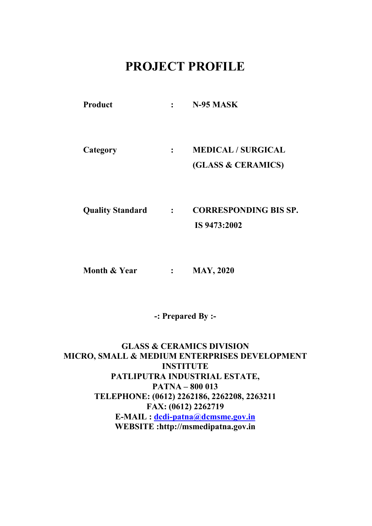# PROJECT PROFILE

| <b>Product</b> | $\mathbf{L}$   | N-95 MASK                 |
|----------------|----------------|---------------------------|
|                |                |                           |
|                |                |                           |
| Category       | $\ddot{\cdot}$ | <b>MEDICAL / SURGICAL</b> |
|                |                | (GLASS & CERAMICS)        |

Quality Standard : CORRESPONDING BIS SP.

IS 9473:2002

Month & Year : MAY, 2020

-: Prepared By :-

GLASS & CERAMICS DIVISION MICRO, SMALL & MEDIUM ENTERPRISES DEVELOPMENT **INSTITUTE** PATLIPUTRA INDUSTRIAL ESTATE, PATNA – 800 013 TELEPHONE: (0612) 2262186, 2262208, 2263211 FAX: (0612) 2262719 E-MAIL : dcdi-patna@dcmsme.gov.in WEBSITE :http://msmedipatna.gov.in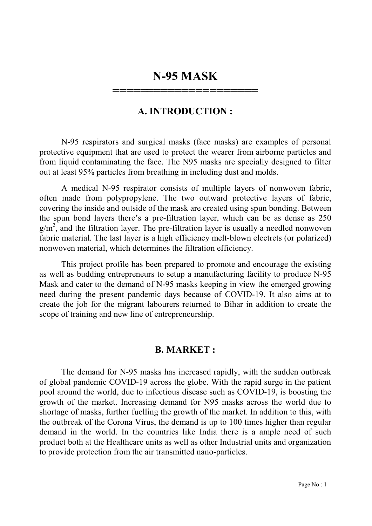# N-95 MASK

======================

#### A. INTRODUCTION :

N-95 respirators and surgical masks (face masks) are examples of personal protective equipment that are used to protect the wearer from airborne particles and from liquid contaminating the face. The N95 masks are specially designed to filter out at least 95% particles from breathing in including dust and molds.

A medical N-95 respirator consists of multiple layers of nonwoven fabric, often made from polypropylene. The two outward protective layers of fabric, covering the inside and outside of the mask are created using spun bonding. Between the spun bond layers there's a pre-filtration layer, which can be as dense as 250  $g/m^2$ , and the filtration layer. The pre-filtration layer is usually a needled nonwoven fabric material. The last layer is a high efficiency melt-blown electrets (or polarized) nonwoven material, which determines the filtration efficiency.

This project profile has been prepared to promote and encourage the existing as well as budding entrepreneurs to setup a manufacturing facility to produce N-95 Mask and cater to the demand of N-95 masks keeping in view the emerged growing need during the present pandemic days because of COVID-19. It also aims at to create the job for the migrant labourers returned to Bihar in addition to create the scope of training and new line of entrepreneurship.

#### B. MARKET :

The demand for N-95 masks has increased rapidly, with the sudden outbreak of global pandemic COVID-19 across the globe. With the rapid surge in the patient pool around the world, due to infectious disease such as COVID-19, is boosting the growth of the market. Increasing demand for N95 masks across the world due to shortage of masks, further fuelling the growth of the market. In addition to this, with the outbreak of the Corona Virus, the demand is up to 100 times higher than regular demand in the world. In the countries like India there is a ample need of such product both at the Healthcare units as well as other Industrial units and organization to provide protection from the air transmitted nano-particles.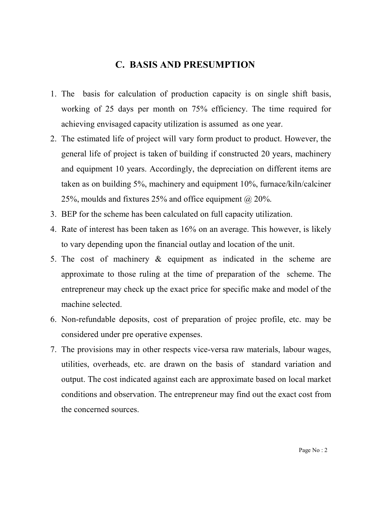#### C. BASIS AND PRESUMPTION

- 1. The basis for calculation of production capacity is on single shift basis, working of 25 days per month on 75% efficiency. The time required for achieving envisaged capacity utilization is assumed as one year.
- 2. The estimated life of project will vary form product to product. However, the general life of project is taken of building if constructed 20 years, machinery and equipment 10 years. Accordingly, the depreciation on different items are taken as on building 5%, machinery and equipment 10%, furnace/kiln/calciner 25%, moulds and fixtures 25% and office equipment  $(a)$  20%.
- 3. BEP for the scheme has been calculated on full capacity utilization.
- 4. Rate of interest has been taken as 16% on an average. This however, is likely to vary depending upon the financial outlay and location of the unit.
- 5. The cost of machinery & equipment as indicated in the scheme are approximate to those ruling at the time of preparation of the scheme. The entrepreneur may check up the exact price for specific make and model of the machine selected.
- 6. Non-refundable deposits, cost of preparation of projec profile, etc. may be considered under pre operative expenses.
- 7. The provisions may in other respects vice-versa raw materials, labour wages, utilities, overheads, etc. are drawn on the basis of standard variation and output. The cost indicated against each are approximate based on local market conditions and observation. The entrepreneur may find out the exact cost from the concerned sources.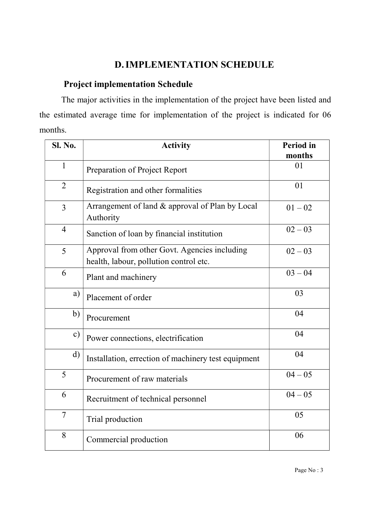### D.IMPLEMENTATION SCHEDULE

## Project implementation Schedule

The major activities in the implementation of the project have been listed and the estimated average time for implementation of the project is indicated for 06 months.

| <b>Sl. No.</b> | <b>Activity</b>                                                                        | <b>Period</b> in<br>months |
|----------------|----------------------------------------------------------------------------------------|----------------------------|
| $\mathbf{1}$   | Preparation of Project Report                                                          | 01                         |
| $\overline{2}$ | Registration and other formalities                                                     | 01                         |
| 3              | Arrangement of land & approval of Plan by Local<br>Authority                           | $01 - 02$                  |
| $\overline{4}$ | Sanction of loan by financial institution                                              | $02 - 03$                  |
| 5              | Approval from other Govt. Agencies including<br>health, labour, pollution control etc. | $02 - 03$                  |
| 6              | Plant and machinery                                                                    | $03 - 04$                  |
| a)             | Placement of order                                                                     | 03                         |
| $\mathbf{b}$   | Procurement                                                                            | 04                         |
| $\mathbf{c})$  | Power connections, electrification                                                     | 04                         |
| $\mathbf{d}$   | Installation, errection of machinery test equipment                                    | 04                         |
| 5              | Procurement of raw materials                                                           | $04 - 05$                  |
| 6              | Recruitment of technical personnel                                                     | $04 - 05$                  |
| $\overline{7}$ | Trial production                                                                       | 05                         |
| 8              | Commercial production                                                                  | 06                         |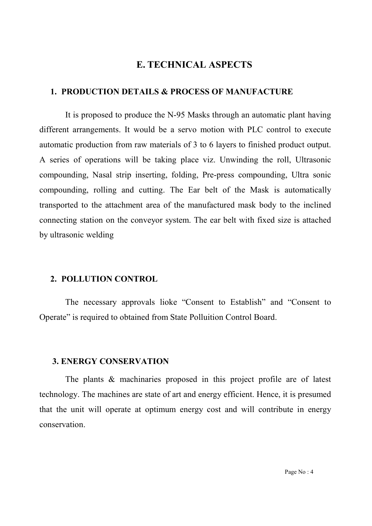#### E. TECHNICAL ASPECTS

#### 1. PRODUCTION DETAILS & PROCESS OF MANUFACTURE

It is proposed to produce the N-95 Masks through an automatic plant having different arrangements. It would be a servo motion with PLC control to execute automatic production from raw materials of 3 to 6 layers to finished product output. A series of operations will be taking place viz. Unwinding the roll, Ultrasonic compounding, Nasal strip inserting, folding, Pre-press compounding, Ultra sonic compounding, rolling and cutting. The Ear belt of the Mask is automatically transported to the attachment area of the manufactured mask body to the inclined connecting station on the conveyor system. The ear belt with fixed size is attached by ultrasonic welding

#### 2. POLLUTION CONTROL

The necessary approvals lioke "Consent to Establish" and "Consent to Operate" is required to obtained from State Polluition Control Board.

#### 3. ENERGY CONSERVATION

The plants & machinaries proposed in this project profile are of latest technology. The machines are state of art and energy efficient. Hence, it is presumed that the unit will operate at optimum energy cost and will contribute in energy conservation.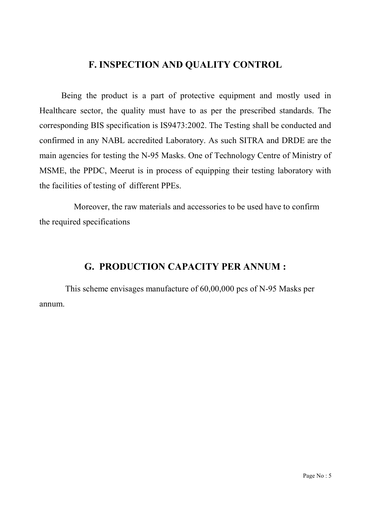### F. INSPECTION AND QUALITY CONTROL

Being the product is a part of protective equipment and mostly used in Healthcare sector, the quality must have to as per the prescribed standards. The corresponding BIS specification is IS9473:2002. The Testing shall be conducted and confirmed in any NABL accredited Laboratory. As such SITRA and DRDE are the main agencies for testing the N-95 Masks. One of Technology Centre of Ministry of MSME, the PPDC, Meerut is in process of equipping their testing laboratory with the facilities of testing of different PPEs.

 Moreover, the raw materials and accessories to be used have to confirm the required specifications

### G. PRODUCTION CAPACITY PER ANNUM :

This scheme envisages manufacture of 60,00,000 pcs of N-95 Masks per annum.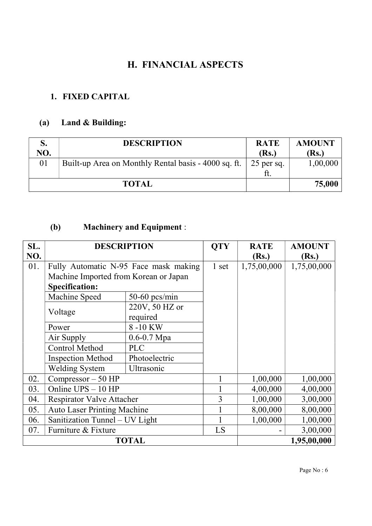## H. FINANCIAL ASPECTS

## 1. FIXED CAPITAL

# (a) Land & Building:

|     | <b>DESCRIPTION</b>                                   | <b>RATE</b>  | <b>AMOUNT</b> |
|-----|------------------------------------------------------|--------------|---------------|
| NO. |                                                      | (Rs.)        | (Rs.)         |
| 01  | Built-up Area on Monthly Rental basis - 4000 sq. ft. | $25$ per sq. | 1,00,000      |
|     |                                                      |              |               |
|     | <b>TOTAL</b>                                         |              | 75,000        |

## (b) Machinery and Equipment :

| SL. | <b>DESCRIPTION</b>                    |                 | <b>QTY</b> | <b>RATE</b> | <b>AMOUNT</b> |
|-----|---------------------------------------|-----------------|------------|-------------|---------------|
| NO. |                                       |                 |            | (Rs.)       | (Rs.)         |
| 01. | Fully Automatic N-95 Face mask making |                 | 1 set      | 1,75,00,000 | 1,75,00,000   |
|     | Machine Imported from Korean or Japan |                 |            |             |               |
|     | <b>Specification:</b>                 |                 |            |             |               |
|     | Machine Speed                         | $50-60$ pcs/min |            |             |               |
|     |                                       | 220V, 50 HZ or  |            |             |               |
|     | Voltage                               | required        |            |             |               |
|     | Power                                 | 8-10 KW         |            |             |               |
|     | Air Supply                            | $0.6 - 0.7$ Mpa |            |             |               |
|     | <b>Control Method</b>                 | <b>PLC</b>      |            |             |               |
|     | <b>Inspection Method</b>              | Photoelectric   |            |             |               |
|     | <b>Welding System</b>                 | Ultrasonic      |            |             |               |
| 02. | Compressor - 50 HP                    |                 |            | 1,00,000    | 1,00,000      |
| 03. | Online UPS - 10 HP                    |                 |            | 4,00,000    | 4,00,000      |
| 04. | <b>Respirator Valve Attacher</b>      |                 | 3          | 1,00,000    | 3,00,000      |
| 05. | <b>Auto Laser Printing Machine</b>    |                 |            | 8,00,000    | 8,00,000      |
| 06. | Sanitization Tunnel - UV Light        |                 |            | 1,00,000    | 1,00,000      |
| 07. | Furniture & Fixture                   |                 | LS         |             | 3,00,000      |
|     |                                       | <b>TOTAL</b>    |            |             | 1,95,00,000   |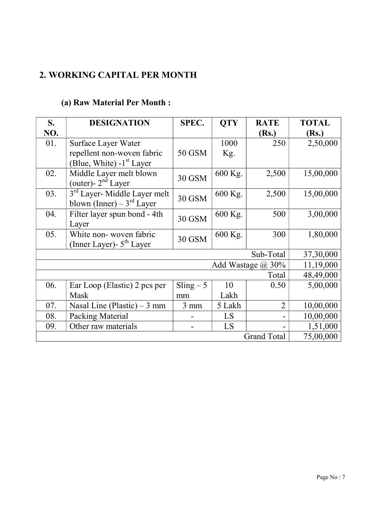# 2. WORKING CAPITAL PER MONTH

# (a) Raw Material Per Month :

| S.                 | <b>DESIGNATION</b>                       | SPEC.          | <b>QTY</b> | <b>RATE</b>              | <b>TOTAL</b> |
|--------------------|------------------------------------------|----------------|------------|--------------------------|--------------|
| NO.                |                                          |                |            | (Rs.)                    | (Rs.)        |
| 01.                | Surface Layer Water                      |                | 1000       | 250                      | 2,50,000     |
|                    | repellent non-woven fabric               | 50 GSM         | Kg.        |                          |              |
|                    | (Blue, White) $-1st$ Layer               |                |            |                          |              |
| 02.                | Middle Layer melt blown                  | <b>30 GSM</b>  | 600 Kg.    | 2,500                    | 15,00,000    |
|                    | (outer)- $2nd$ Layer                     |                |            |                          |              |
| 03.                | 3 <sup>rd</sup> Layer- Middle Layer melt | <b>30 GSM</b>  | 600 Kg.    | 2,500                    | 15,00,000    |
|                    | blown (Inner) – $3rd$ Layer              |                |            |                          |              |
| 04.                | Filter layer spun bond - 4th             | <b>30 GSM</b>  | 600 Kg.    | 500                      | 3,00,000     |
|                    | Layer                                    |                |            |                          |              |
| 05.                | White non-woven fabric                   | <b>30 GSM</b>  | 600 Kg.    | 300                      | 1,80,000     |
|                    | (Inner Layer) - 5 <sup>th</sup> Layer    |                |            |                          |              |
|                    | 37,30,000                                |                |            |                          |              |
|                    |                                          |                |            | Add Wastage $\omega$ 30% | 11,19,000    |
|                    |                                          |                |            | Total                    | 48,49,000    |
| 06.                | Ear Loop (Elastic) 2 pcs per             | $Sling - 5$    | 10         | 0.50                     | 5,00,000     |
|                    | Mask                                     | mm             | Lakh       |                          |              |
| 07.                | Nasal Line (Plastic) $-3$ mm             | $3 \text{ mm}$ | 5 Lakh     | $\overline{2}$           | 10,00,000    |
| 08.                | Packing Material                         |                | LS         |                          | 10,00,000    |
| 09.                | Other raw materials                      |                | LS         |                          | 1,51,000     |
| <b>Grand Total</b> |                                          |                |            |                          | 75,00,000    |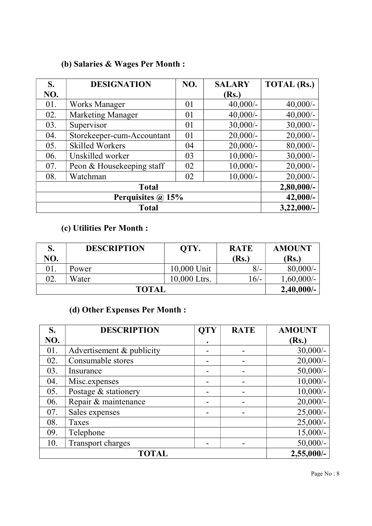## (b) Salaries & Wages Per Month :

| S.                | <b>DESIGNATION</b>         | NO. | <b>SALARY</b> | <b>TOTAL (Rs.)</b> |
|-------------------|----------------------------|-----|---------------|--------------------|
| NO.               |                            |     | (Rs.)         |                    |
| 01.               | <b>Works Manager</b>       | 01  | $40,000/-$    | $40,000/-$         |
| 02.               | <b>Marketing Manager</b>   | 01  | $40,000/-$    | $40,000/$ -        |
| 03.               | Supervisor                 | 01  | $30,000/$ -   | $30,000/$ -        |
| 04.               | Storekeeper-cum-Accountant | 01  | $20,000/-$    | $20,000/-$         |
| 05.               | <b>Skilled Workers</b>     | 04  | $20,000/-$    | $80,000/$ -        |
| 06.               | Unskilled worker           | 03  | $10,000/-$    | $30,000/$ -        |
| 07.               | Peon & Housekeeping staff  | 02  | $10,000/-$    | $20,000/$ -        |
| 08.               | Watchman                   | 02  | $10,000/-$    | $20,000/$ -        |
|                   | $2,80,000/-$               |     |               |                    |
| Perquisites @ 15% |                            |     |               | $42,000/-$         |
|                   | $3,22,000/-$               |     |               |                    |

## (c) Utilities Per Month :

| S.           | <b>DESCRIPTION</b> | OTY.         | <b>RATE</b> | <b>AMOUNT</b> |
|--------------|--------------------|--------------|-------------|---------------|
| NO.          |                    |              | (Rs.)       | <b>Rs.</b> )  |
| 01.          | Power              | 10,000 Unit  | $8/-$       | $80,000/-$    |
| 02.          | Water              | 10,000 Ltrs. | $16/-$      | $1,60,000/-$  |
| <b>TOTAL</b> |                    |              |             | 2,40,000/     |

## (d) Other Expenses Per Month :

| S.  | <b>DESCRIPTION</b>        | <b>QTY</b> | <b>RATE</b>              | <b>AMOUNT</b> |
|-----|---------------------------|------------|--------------------------|---------------|
| NO. |                           |            |                          | (Rs.)         |
| 01. | Advertisement & publicity |            |                          | $30,000/-$    |
| 02. | Consumable stores         |            |                          | $20,000/$ -   |
| 03. | Insurance                 |            |                          | $50,000/-$    |
| 04. | Misc.expenses             |            |                          | $10,000/-$    |
| 05. | Postage & stationery      |            | -                        | $10,000/-$    |
| 06. | Repair & maintenance      |            | $\overline{\phantom{0}}$ | $20,000/$ -   |
| 07. | Sales expenses            |            |                          | $25,000/-$    |
| 08. | Taxes                     |            |                          | $25,000/-$    |
| 09. | Telephone                 |            |                          | $15,000/-$    |
| 10. | Transport charges         |            |                          | $50,000/-$    |
|     | $2,55,000/-$              |            |                          |               |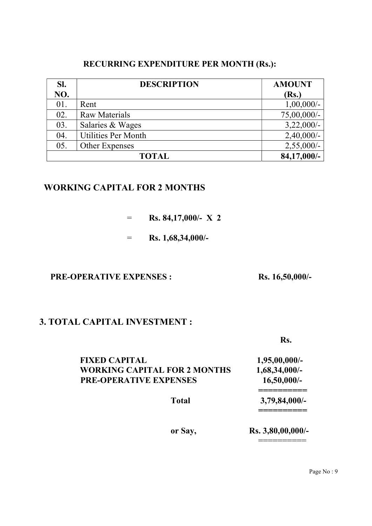#### RECURRING EXPENDITURE PER MONTH (Rs.):

| SI. | <b>DESCRIPTION</b>         | <b>AMOUNT</b> |
|-----|----------------------------|---------------|
| NO. |                            | (Rs.)         |
| 01. | Rent                       | $1,00,000/-$  |
| 02. | <b>Raw Materials</b>       | 75,00,000/-   |
| 03. | Salaries & Wages           | $3,22,000/-$  |
| 04. | <b>Utilities Per Month</b> | $2,40,000/-$  |
| 05. | Other Expenses             | $2,55,000/-$  |
|     | <b>TOTAL</b>               | 84,17,000/-   |

#### WORKING CAPITAL FOR 2 MONTHS

- $=$  Rs. 84,17,000/- X 2
- $=$  Rs. 1,68,34,000/-

#### PRE-OPERATIVE EXPENSES : Rs. 16,50,000/-

#### 3. TOTAL CAPITAL INVESTMENT :

Rs.

| <b>FIXED CAPITAL</b>                | $1,95,00,000/$ -  |
|-------------------------------------|-------------------|
| <b>WORKING CAPITAL FOR 2 MONTHS</b> | $1,68,34,000/$ -  |
| <b>PRE-OPERATIVE EXPENSES</b>       | $16,50,000/$ -    |
| <b>Total</b>                        | $3,79,84,000/-$   |
| or Say,                             | Rs. 3,80,00,000/- |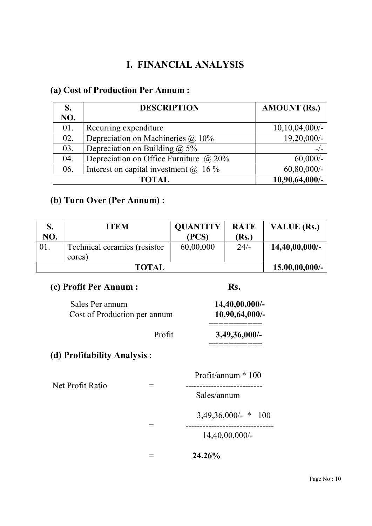## I. FINANCIAL ANALYSIS

## (a) Cost of Production Per Annum :

| S.  | <b>DESCRIPTION</b>                            | <b>AMOUNT (Rs.)</b> |
|-----|-----------------------------------------------|---------------------|
| NO. |                                               |                     |
| 01. | Recurring expenditure                         | $10,10,04,000/$ -   |
| 02. | Depreciation on Machineries $\omega$ 10%      | 19,20,000/-         |
| 03. | Depreciation on Building $\omega$ 5%          |                     |
| 04. | Depreciation on Office Furniture $\omega$ 20% | $60,000/$ -         |
| 06. | Interest on capital investment $(a)$ 16%      | $60,80,000/$ -      |
|     | <b>TOTAL</b>                                  | 10,90,64,000/-      |

### (b) Turn Over (Per Annum) :

|     | <b>ITEM</b>                  | <b>QUANTITY</b> | <b>RATE</b> | VALUE (Rs.)       |
|-----|------------------------------|-----------------|-------------|-------------------|
| NO. |                              | (PCS)           | (Rs.)       |                   |
| 01. | Technical ceramics (resistor | 60,00,000       | $24/-$      | $14,40,00,000/$ - |
|     | cores)                       |                 |             |                   |
|     | <b>TOTAL</b>                 |                 |             | $15,00,00,000/$ - |

### (c) Profit Per Annum : Rs.

| $14,40,00,000/$ - | Sales Per annum              |
|-------------------|------------------------------|
| $10,90,64,000/-$  | Cost of Production per annum |
| $3,49,36,000/-$   | Profit                       |

## (d) Profitability Analysis :

 Profit/annum \* 100 Net Profit Ratio = --------------------------- Sales/annum 3,49,36,000/- \* 100 = ------------------------------- 14,40,00,000/-

 $= 24.26\%$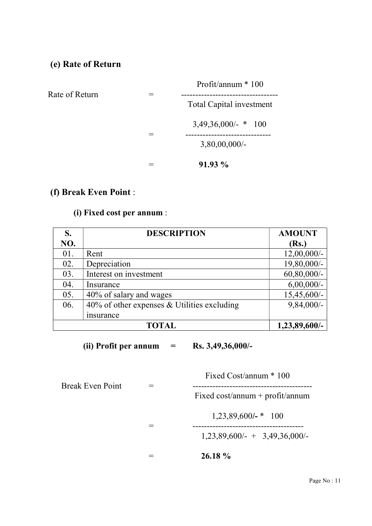#### (e) Rate of Return

| Rate of Return | Profit/annum $*100$      |  |
|----------------|--------------------------|--|
|                | Total Capital investment |  |
|                | $3,49,36,000/$ - * 100   |  |
|                | $3,80,00,000/$ -         |  |
|                | $91.93\%$                |  |

## (f) Break Even Point :

#### (i) Fixed cost per annum :

| S.  | <b>DESCRIPTION</b>                             | <b>AMOUNT</b>  |
|-----|------------------------------------------------|----------------|
| NO. |                                                | (Rs.)          |
| 01. | Rent                                           | $12,00,000/$ - |
| 02. | Depreciation                                   | 19,80,000/-    |
| 03. | Interest on investment                         | $60,80,000/$ - |
| 04. | Insurance                                      | $6,00,000/$ -  |
| 05. | 40% of salary and wages                        | 15,45,600/-    |
| 06. | $40\%$ of other expenses & Utilities excluding | $9,84,000/-$   |
|     | insurance                                      |                |
|     | TOTAL                                          | 1,23,89,600/-  |

(ii) Profit per annum  $=$  Rs. 3,49,36,000/-

 Fixed Cost/annum \* 100 Break Even Point = ------------------------------------------ Fixed cost/annum + profit/annum

1,23,89,600/- \* 100

1,23,89,600/- + 3,49,36,000/-

 $= 26.18 \%$ 

= ---------------------------------------